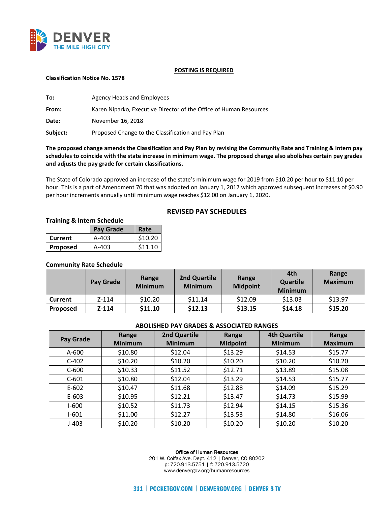

#### **POSTING IS REQUIRED**

#### **Classification Notice No. 1578**

| To:      | <b>Agency Heads and Employees</b>                                  |
|----------|--------------------------------------------------------------------|
| From:    | Karen Niparko, Executive Director of the Office of Human Resources |
| Date:    | November 16, 2018                                                  |
| Subject: | Proposed Change to the Classification and Pay Plan                 |

# **The proposed change amends the Classification and Pay Plan by revising the Community Rate and Training & Intern pay schedules to coincide with the state increase in minimum wage. The proposed change also abolishes certain pay grades and adjusts the pay grade for certain classifications.**

The State of Colorado approved an increase of the state's minimum wage for 2019 from \$10.20 per hour to \$11.10 per hour. This is a part of Amendment 70 that was adopted on January 1, 2017 which approved subsequent increases of \$0.90 per hour increments annually until minimum wage reaches \$12.00 on January 1, 2020.

# **REVISED PAY SCHEDULES**

## **Training & Intern Schedule**

|          | Pay Grade | Rate    |
|----------|-----------|---------|
| Current  | A-403     | \$10.20 |
| Proposed | A-403     | \$11.10 |

## **Community Rate Schedule**

|                 | Pay Grade | Range<br><b>Minimum</b> | <b>2nd Quartile</b><br><b>Minimum</b> | Range<br><b>Midpoint</b> | 4th<br><b>Quartile</b><br><b>Minimum</b> | Range<br><b>Maximum</b> |
|-----------------|-----------|-------------------------|---------------------------------------|--------------------------|------------------------------------------|-------------------------|
| <b>Current</b>  | $Z - 114$ | \$10.20                 | \$11.14                               | \$12.09                  | \$13.03                                  | \$13.97                 |
| <b>Proposed</b> | $Z - 114$ | \$11.10                 | \$12.13                               | \$13.15                  | \$14.18                                  | \$15.20                 |

## **ABOLISHED PAY GRADES & ASSOCIATED RANGES**

| Pay Grade | Range<br><b>Minimum</b> | <b>2nd Quartile</b><br><b>Minimum</b> | Range<br><b>Midpoint</b> | <b>4th Quartile</b><br><b>Minimum</b> | Range<br><b>Maximum</b> |
|-----------|-------------------------|---------------------------------------|--------------------------|---------------------------------------|-------------------------|
| A-600     | \$10.80                 | \$12.04                               | \$13.29                  | \$14.53                               | \$15.77                 |
| $C-402$   | \$10.20                 | \$10.20                               | \$10.20                  | \$10.20                               | \$10.20                 |
| $C-600$   | \$10.33                 | \$11.52                               | \$12.71                  | \$13.89                               | \$15.08                 |
| $C-601$   | \$10.80                 | \$12.04                               | \$13.29                  | \$14.53                               | \$15.77                 |
| $E-602$   | \$10.47                 | \$11.68                               | \$12.88                  | \$14.09                               | \$15.29                 |
| E-603     | \$10.95                 | \$12.21                               | \$13.47                  | \$14.73                               | \$15.99                 |
| $1-600$   | \$10.52                 | \$11.73                               | \$12.94                  | \$14.15                               | \$15.36                 |
| $I-601$   | \$11.00                 | \$12.27                               | \$13.53                  | \$14.80                               | \$16.06                 |
| $J-403$   | \$10.20                 | \$10.20                               | \$10.20                  | \$10.20                               | \$10.20                 |

#### Office of Human Resources

201 W. Colfax Ave. Dept. 412 | Denver, CO 80202 p: 720.913.5751 | f: 720.913.5720 www.denvergov.org/humanresources